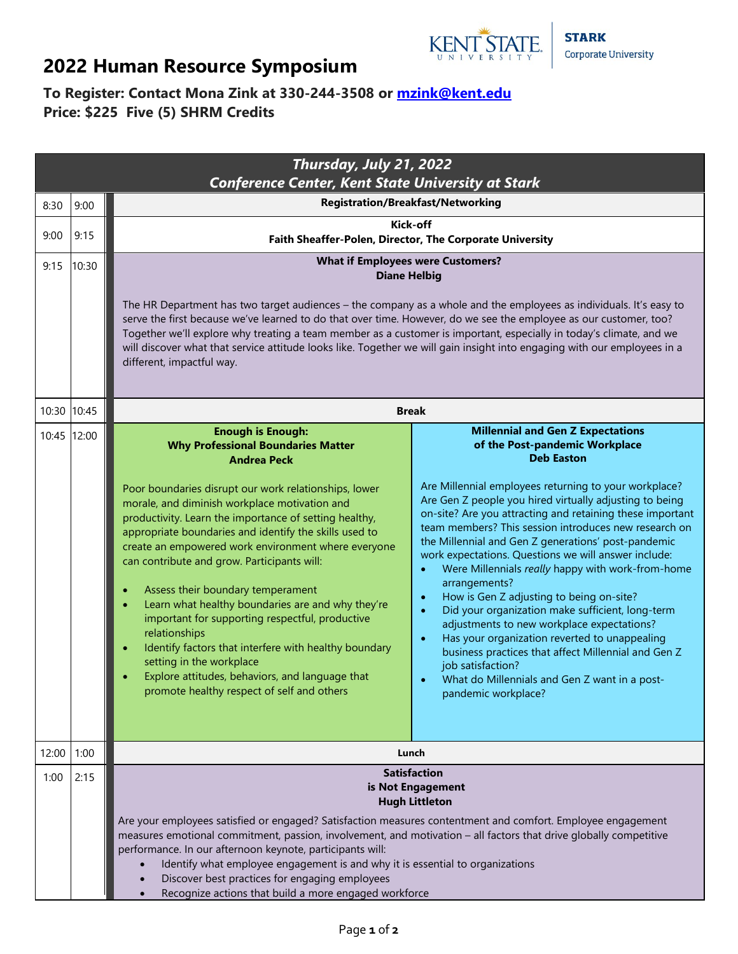

## **2022 Human Resource Symposium**

## **To Register: Contact Mona Zink at 330-244-3508 or [mzink@kent.edu](mailto:mzink@kent.edu) Price: \$225 Five (5) SHRM Credits**

| Thursday, July 21, 2022<br><b>Conference Center, Kent State University at Stark</b> |             |                                                                                                                                                                                                                                                                                                                                                                                                                                                                                                                                                                                                                                                                                                                                                                                                                            |                                                                                                                                                                                                                                                                                                                                                                                                                                                                                                                                                                                                                                                                                                                                          |  |  |
|-------------------------------------------------------------------------------------|-------------|----------------------------------------------------------------------------------------------------------------------------------------------------------------------------------------------------------------------------------------------------------------------------------------------------------------------------------------------------------------------------------------------------------------------------------------------------------------------------------------------------------------------------------------------------------------------------------------------------------------------------------------------------------------------------------------------------------------------------------------------------------------------------------------------------------------------------|------------------------------------------------------------------------------------------------------------------------------------------------------------------------------------------------------------------------------------------------------------------------------------------------------------------------------------------------------------------------------------------------------------------------------------------------------------------------------------------------------------------------------------------------------------------------------------------------------------------------------------------------------------------------------------------------------------------------------------------|--|--|
| 8:30                                                                                | 9:00        | <b>Registration/Breakfast/Networking</b>                                                                                                                                                                                                                                                                                                                                                                                                                                                                                                                                                                                                                                                                                                                                                                                   |                                                                                                                                                                                                                                                                                                                                                                                                                                                                                                                                                                                                                                                                                                                                          |  |  |
| 9:00                                                                                | 9:15        | Kick-off<br>Faith Sheaffer-Polen, Director, The Corporate University                                                                                                                                                                                                                                                                                                                                                                                                                                                                                                                                                                                                                                                                                                                                                       |                                                                                                                                                                                                                                                                                                                                                                                                                                                                                                                                                                                                                                                                                                                                          |  |  |
| 9:15                                                                                | 10:30       | <b>What if Employees were Customers?</b>                                                                                                                                                                                                                                                                                                                                                                                                                                                                                                                                                                                                                                                                                                                                                                                   |                                                                                                                                                                                                                                                                                                                                                                                                                                                                                                                                                                                                                                                                                                                                          |  |  |
|                                                                                     |             | <b>Diane Helbig</b>                                                                                                                                                                                                                                                                                                                                                                                                                                                                                                                                                                                                                                                                                                                                                                                                        |                                                                                                                                                                                                                                                                                                                                                                                                                                                                                                                                                                                                                                                                                                                                          |  |  |
|                                                                                     |             | The HR Department has two target audiences - the company as a whole and the employees as individuals. It's easy to<br>serve the first because we've learned to do that over time. However, do we see the employee as our customer, too?<br>Together we'll explore why treating a team member as a customer is important, especially in today's climate, and we<br>will discover what that service attitude looks like. Together we will gain insight into engaging with our employees in a<br>different, impactful way.                                                                                                                                                                                                                                                                                                    |                                                                                                                                                                                                                                                                                                                                                                                                                                                                                                                                                                                                                                                                                                                                          |  |  |
|                                                                                     | 10:30 10:45 | <b>Break</b>                                                                                                                                                                                                                                                                                                                                                                                                                                                                                                                                                                                                                                                                                                                                                                                                               |                                                                                                                                                                                                                                                                                                                                                                                                                                                                                                                                                                                                                                                                                                                                          |  |  |
|                                                                                     | 10:45 12:00 | <b>Enough is Enough:</b><br><b>Why Professional Boundaries Matter</b><br><b>Andrea Peck</b>                                                                                                                                                                                                                                                                                                                                                                                                                                                                                                                                                                                                                                                                                                                                | <b>Millennial and Gen Z Expectations</b><br>of the Post-pandemic Workplace<br><b>Deb Easton</b>                                                                                                                                                                                                                                                                                                                                                                                                                                                                                                                                                                                                                                          |  |  |
|                                                                                     |             | Poor boundaries disrupt our work relationships, lower<br>morale, and diminish workplace motivation and<br>productivity. Learn the importance of setting healthy,<br>appropriate boundaries and identify the skills used to<br>create an empowered work environment where everyone<br>can contribute and grow. Participants will:<br>٠<br>arrangements?<br>Assess their boundary temperament<br>$\bullet$<br>$\bullet$<br>Learn what healthy boundaries are and why they're<br>$\bullet$<br>$\bullet$<br>important for supporting respectful, productive<br>relationships<br>$\bullet$<br>Identify factors that interfere with healthy boundary<br>$\bullet$<br>setting in the workplace<br>job satisfaction?<br>Explore attitudes, behaviors, and language that<br>$\bullet$<br>promote healthy respect of self and others | Are Millennial employees returning to your workplace?<br>Are Gen Z people you hired virtually adjusting to being<br>on-site? Are you attracting and retaining these important<br>team members? This session introduces new research on<br>the Millennial and Gen Z generations' post-pandemic<br>work expectations. Questions we will answer include:<br>Were Millennials really happy with work-from-home<br>How is Gen Z adjusting to being on-site?<br>Did your organization make sufficient, long-term<br>adjustments to new workplace expectations?<br>Has your organization reverted to unappealing<br>business practices that affect Millennial and Gen Z<br>What do Millennials and Gen Z want in a post-<br>pandemic workplace? |  |  |
| 12:00                                                                               | 1:00        | Lunch                                                                                                                                                                                                                                                                                                                                                                                                                                                                                                                                                                                                                                                                                                                                                                                                                      |                                                                                                                                                                                                                                                                                                                                                                                                                                                                                                                                                                                                                                                                                                                                          |  |  |
| 1:00                                                                                | 2:15        | <b>Satisfaction</b><br>is Not Engagement<br><b>Hugh Littleton</b><br>Are your employees satisfied or engaged? Satisfaction measures contentment and comfort. Employee engagement<br>measures emotional commitment, passion, involvement, and motivation - all factors that drive globally competitive<br>performance. In our afternoon keynote, participants will:<br>Identify what employee engagement is and why it is essential to organizations                                                                                                                                                                                                                                                                                                                                                                        |                                                                                                                                                                                                                                                                                                                                                                                                                                                                                                                                                                                                                                                                                                                                          |  |  |
|                                                                                     |             | Discover best practices for engaging employees<br>Recognize actions that build a more engaged workforce                                                                                                                                                                                                                                                                                                                                                                                                                                                                                                                                                                                                                                                                                                                    |                                                                                                                                                                                                                                                                                                                                                                                                                                                                                                                                                                                                                                                                                                                                          |  |  |